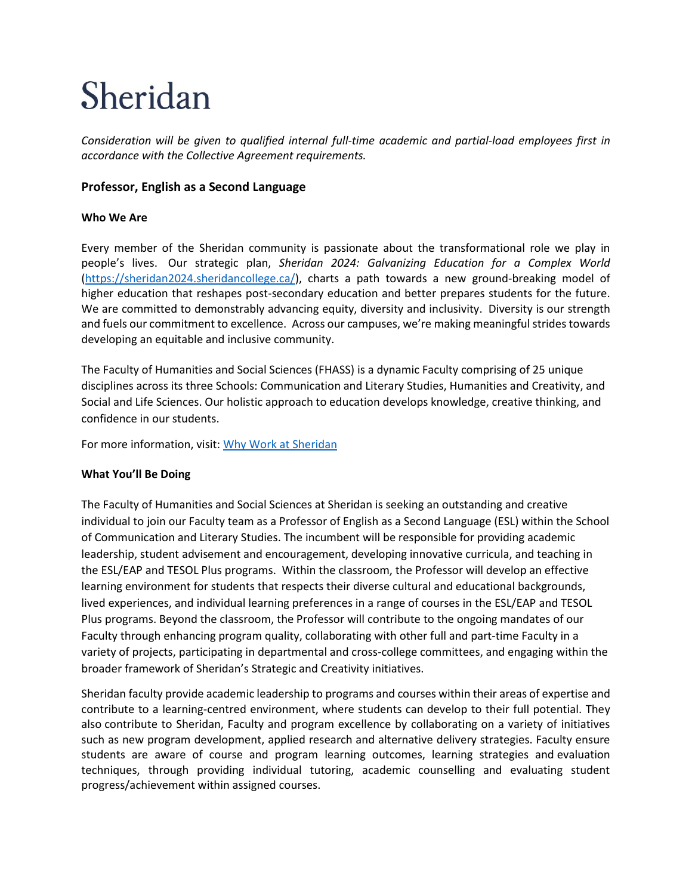# Sheridan

*Consideration will be given to qualified internal full-time academic and partial-load employees first in accordance with the Collective Agreement requirements.*

## **Professor, English as a Second Language**

## **Who We Are**

Every member of the Sheridan community is passionate about the transformational role we play in people's lives.  Our strategic plan, *Sheridan 2024: Galvanizing Education for a Complex World* [\(https://sheridan2024.sheridancollege.ca/\)](https://sheridan2024.sheridancollege.ca/), charts a path towards a new ground-breaking model of higher education that reshapes post-secondary education and better prepares students for the future. We are committed to demonstrably advancing equity, diversity and inclusivity. Diversity is our strength and fuels our commitment to excellence. Across our campuses, we're making meaningful strides towards developing an equitable and inclusive community.

The Faculty of Humanities and Social Sciences (FHASS) is a dynamic Faculty comprising of 25 unique disciplines across its three Schools: Communication and Literary Studies, Humanities and Creativity, and Social and Life Sciences. Our holistic approach to education develops knowledge, creative thinking, and confidence in our students.

For more information, visit: [Why Work at Sheridan](https://www.sheridancollege.ca/careers/why-work-at-sheridan)

### **What You'll Be Doing**

The Faculty of Humanities and Social Sciences at Sheridan is seeking an outstanding and creative individual to join our Faculty team as a Professor of English as a Second Language (ESL) within the School of Communication and Literary Studies. The incumbent will be responsible for providing academic leadership, student advisement and encouragement, developing innovative curricula, and teaching in the ESL/EAP and TESOL Plus programs. Within the classroom, the Professor will develop an effective learning environment for students that respects their diverse cultural and educational backgrounds, lived experiences, and individual learning preferences in a range of courses in the ESL/EAP and TESOL Plus programs. Beyond the classroom, the Professor will contribute to the ongoing mandates of our Faculty through enhancing program quality, collaborating with other full and part-time Faculty in a variety of projects, participating in departmental and cross-college committees, and engaging within the broader framework of Sheridan's Strategic and Creativity initiatives.

Sheridan faculty provide academic leadership to programs and courses within their areas of expertise and contribute to a learning-centred environment, where students can develop to their full potential. They also contribute to Sheridan, Faculty and program excellence by collaborating on a variety of initiatives such as new program development, applied research and alternative delivery strategies. Faculty ensure students are aware of course and program learning outcomes, learning strategies and evaluation techniques, through providing individual tutoring, academic counselling and evaluating student progress/achievement within assigned courses.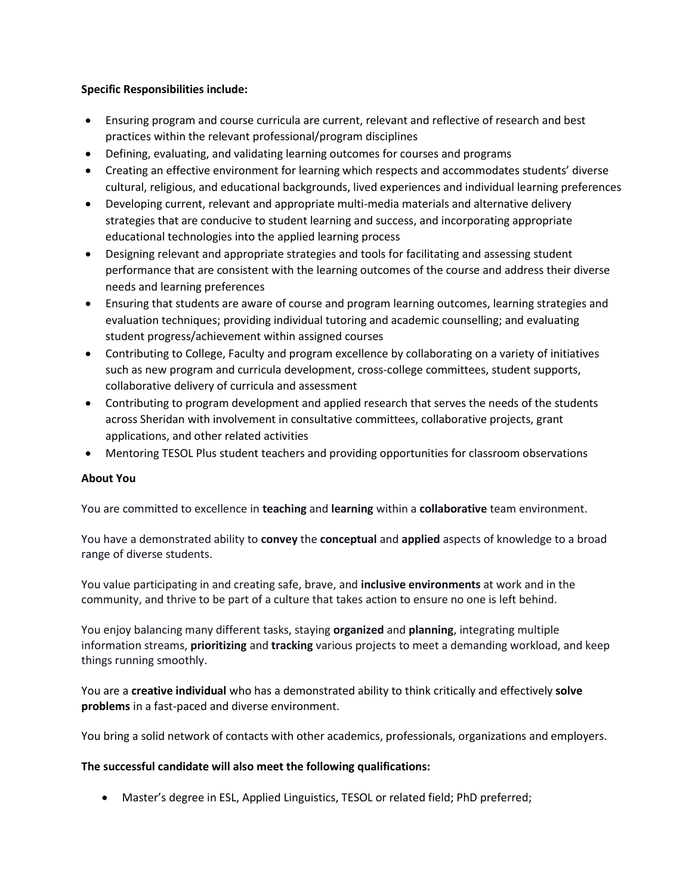#### **Specific Responsibilities include:**

- Ensuring program and course curricula are current, relevant and reflective of research and best practices within the relevant professional/program disciplines
- Defining, evaluating, and validating learning outcomes for courses and programs
- Creating an effective environment for learning which respects and accommodates students' diverse cultural, religious, and educational backgrounds, lived experiences and individual learning preferences
- Developing current, relevant and appropriate multi-media materials and alternative delivery strategies that are conducive to student learning and success, and incorporating appropriate educational technologies into the applied learning process
- Designing relevant and appropriate strategies and tools for facilitating and assessing student performance that are consistent with the learning outcomes of the course and address their diverse needs and learning preferences
- Ensuring that students are aware of course and program learning outcomes, learning strategies and evaluation techniques; providing individual tutoring and academic counselling; and evaluating student progress/achievement within assigned courses
- Contributing to College, Faculty and program excellence by collaborating on a variety of initiatives such as new program and curricula development, cross-college committees, student supports, collaborative delivery of curricula and assessment
- Contributing to program development and applied research that serves the needs of the students across Sheridan with involvement in consultative committees, collaborative projects, grant applications, and other related activities
- Mentoring TESOL Plus student teachers and providing opportunities for classroom observations

### **About You**

You are committed to excellence in **teaching** and **learning** within a **collaborative** team environment.

You have a demonstrated ability to **convey** the **conceptual** and **applied** aspects of knowledge to a broad range of diverse students.

You value participating in and creating safe, brave, and **inclusive environments** at work and in the community, and thrive to be part of a culture that takes action to ensure no one is left behind.

You enjoy balancing many different tasks, staying **organized** and **planning**, integrating multiple information streams, **prioritizing** and **tracking** various projects to meet a demanding workload, and keep things running smoothly.

You are a **creative individual** who has a demonstrated ability to think critically and effectively **solve problems** in a fast-paced and diverse environment.

You bring a solid network of contacts with other academics, professionals, organizations and employers.

#### **The successful candidate will also meet the following qualifications:**

• Master's degree in ESL, Applied Linguistics, TESOL or related field; PhD preferred;